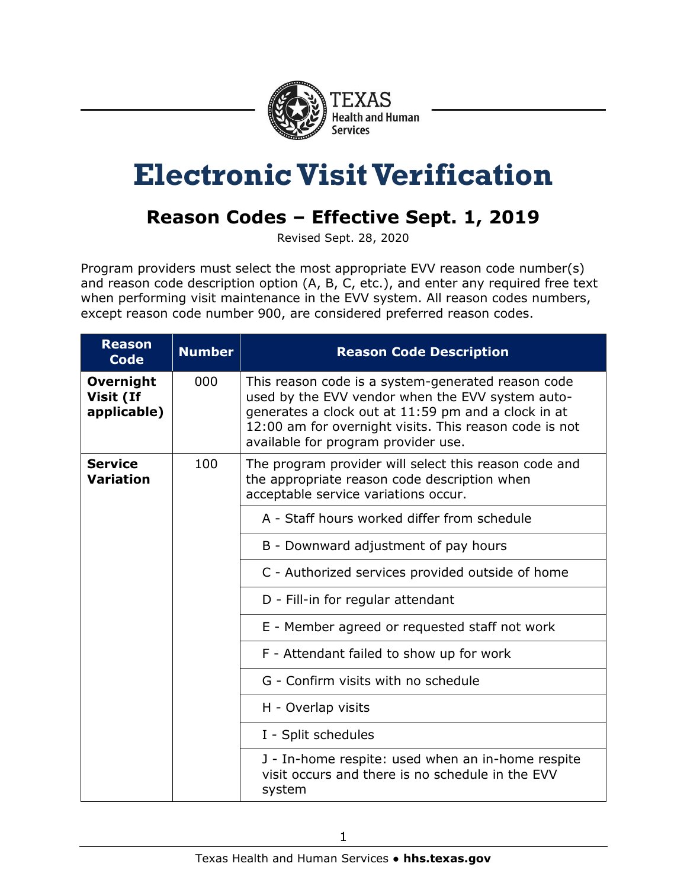

## **Electronic Visit Verification**

## **Reason Codes – Effective Sept. 1, 2019**

Revised Sept. 28, 2020

Program providers must select the most appropriate EVV reason code number(s) and reason code description option (A, B, C, etc.), and enter any required free text when performing visit maintenance in the EVV system. All reason codes numbers, except reason code number 900, are considered preferred reason codes.

| <b>Reason</b><br><b>Code</b>                 | <b>Number</b> | <b>Reason Code Description</b>                                                                                                                                                                                                                                 |
|----------------------------------------------|---------------|----------------------------------------------------------------------------------------------------------------------------------------------------------------------------------------------------------------------------------------------------------------|
| <b>Overnight</b><br>Visit (If<br>applicable) | 000           | This reason code is a system-generated reason code<br>used by the EVV vendor when the EVV system auto-<br>generates a clock out at 11:59 pm and a clock in at<br>12:00 am for overnight visits. This reason code is not<br>available for program provider use. |
| <b>Service</b><br><b>Variation</b>           | 100           | The program provider will select this reason code and<br>the appropriate reason code description when<br>acceptable service variations occur.                                                                                                                  |
|                                              |               | A - Staff hours worked differ from schedule                                                                                                                                                                                                                    |
|                                              |               | B - Downward adjustment of pay hours                                                                                                                                                                                                                           |
|                                              |               | C - Authorized services provided outside of home                                                                                                                                                                                                               |
|                                              |               | D - Fill-in for regular attendant                                                                                                                                                                                                                              |
|                                              |               | E - Member agreed or requested staff not work                                                                                                                                                                                                                  |
|                                              |               | F - Attendant failed to show up for work                                                                                                                                                                                                                       |
|                                              |               | G - Confirm visits with no schedule                                                                                                                                                                                                                            |
|                                              |               | H - Overlap visits                                                                                                                                                                                                                                             |
|                                              |               | I - Split schedules                                                                                                                                                                                                                                            |
|                                              |               | J - In-home respite: used when an in-home respite<br>visit occurs and there is no schedule in the EVV<br>system                                                                                                                                                |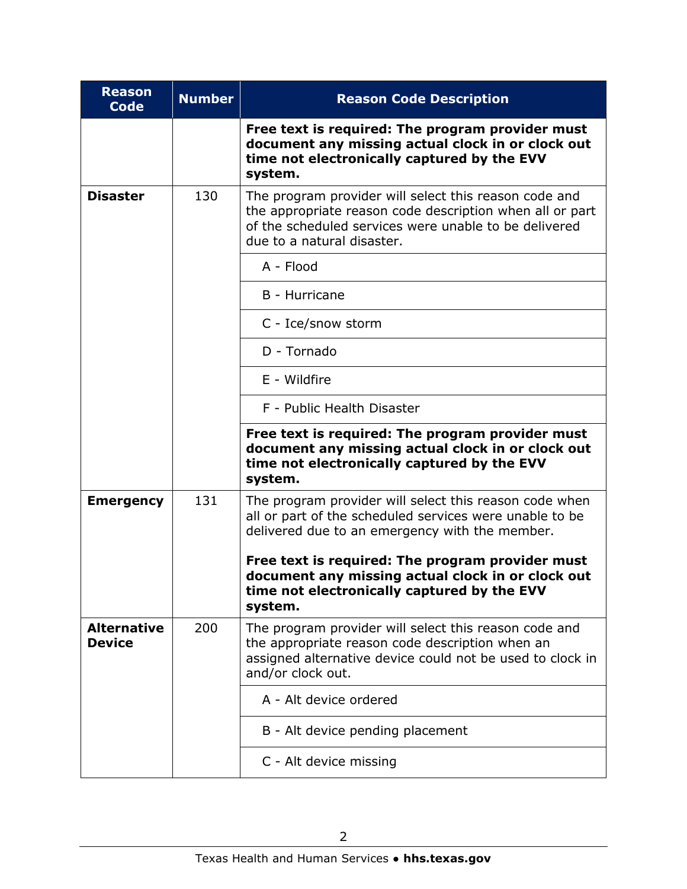| <b>Reason</b><br><b>Code</b>        | <b>Number</b> | <b>Reason Code Description</b>                                                                                                                                                                           |
|-------------------------------------|---------------|----------------------------------------------------------------------------------------------------------------------------------------------------------------------------------------------------------|
|                                     |               | Free text is required: The program provider must<br>document any missing actual clock in or clock out<br>time not electronically captured by the EVV<br>system.                                          |
| <b>Disaster</b>                     | 130           | The program provider will select this reason code and<br>the appropriate reason code description when all or part<br>of the scheduled services were unable to be delivered<br>due to a natural disaster. |
|                                     |               | A - Flood                                                                                                                                                                                                |
|                                     |               | B - Hurricane                                                                                                                                                                                            |
|                                     |               | C - Ice/snow storm                                                                                                                                                                                       |
|                                     |               | D - Tornado                                                                                                                                                                                              |
|                                     |               | E - Wildfire                                                                                                                                                                                             |
|                                     |               | F - Public Health Disaster                                                                                                                                                                               |
|                                     |               | Free text is required: The program provider must<br>document any missing actual clock in or clock out<br>time not electronically captured by the EVV<br>system.                                          |
| <b>Emergency</b>                    | 131           | The program provider will select this reason code when<br>all or part of the scheduled services were unable to be<br>delivered due to an emergency with the member.                                      |
|                                     |               | Free text is required: The program provider must<br>document any missing actual clock in or clock out<br>time not electronically captured by the EVV<br>system.                                          |
| <b>Alternative</b><br><b>Device</b> | 200           | The program provider will select this reason code and<br>the appropriate reason code description when an<br>assigned alternative device could not be used to clock in<br>and/or clock out.               |
|                                     |               | A - Alt device ordered                                                                                                                                                                                   |
|                                     |               | B - Alt device pending placement                                                                                                                                                                         |
|                                     |               | C - Alt device missing                                                                                                                                                                                   |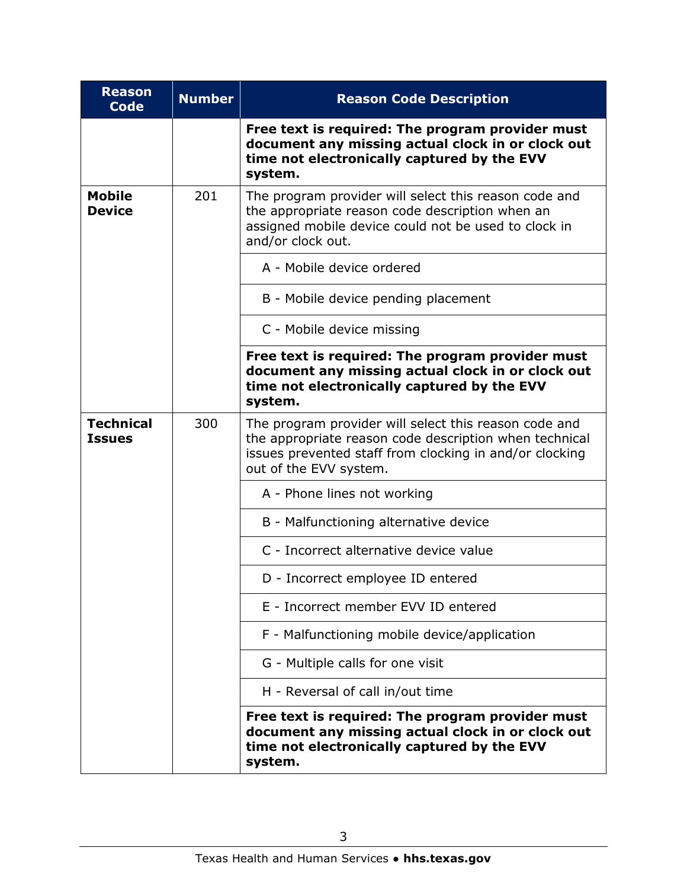| <b>Reason</b><br><b>Code</b>      | <b>Number</b> | <b>Reason Code Description</b>                                                                                                                                                                       |
|-----------------------------------|---------------|------------------------------------------------------------------------------------------------------------------------------------------------------------------------------------------------------|
|                                   |               | Free text is required: The program provider must<br>document any missing actual clock in or clock out<br>time not electronically captured by the EVV<br>system.                                      |
| <b>Mobile</b><br><b>Device</b>    | 201           | The program provider will select this reason code and<br>the appropriate reason code description when an<br>assigned mobile device could not be used to clock in<br>and/or clock out.                |
|                                   |               | A - Mobile device ordered                                                                                                                                                                            |
|                                   |               | B - Mobile device pending placement                                                                                                                                                                  |
|                                   |               | C - Mobile device missing                                                                                                                                                                            |
|                                   |               | Free text is required: The program provider must<br>document any missing actual clock in or clock out<br>time not electronically captured by the EVV<br>system.                                      |
| <b>Technical</b><br><b>Issues</b> | 300           | The program provider will select this reason code and<br>the appropriate reason code description when technical<br>issues prevented staff from clocking in and/or clocking<br>out of the EVV system. |
|                                   |               | A - Phone lines not working                                                                                                                                                                          |
|                                   |               | B - Malfunctioning alternative device                                                                                                                                                                |
|                                   |               | C - Incorrect alternative device value                                                                                                                                                               |
|                                   |               | D - Incorrect employee ID entered                                                                                                                                                                    |
|                                   |               | E - Incorrect member EVV ID entered                                                                                                                                                                  |
|                                   |               | F - Malfunctioning mobile device/application                                                                                                                                                         |
|                                   |               | G - Multiple calls for one visit                                                                                                                                                                     |
|                                   |               | H - Reversal of call in/out time                                                                                                                                                                     |
|                                   |               | Free text is required: The program provider must<br>document any missing actual clock in or clock out<br>time not electronically captured by the EVV<br>system.                                      |